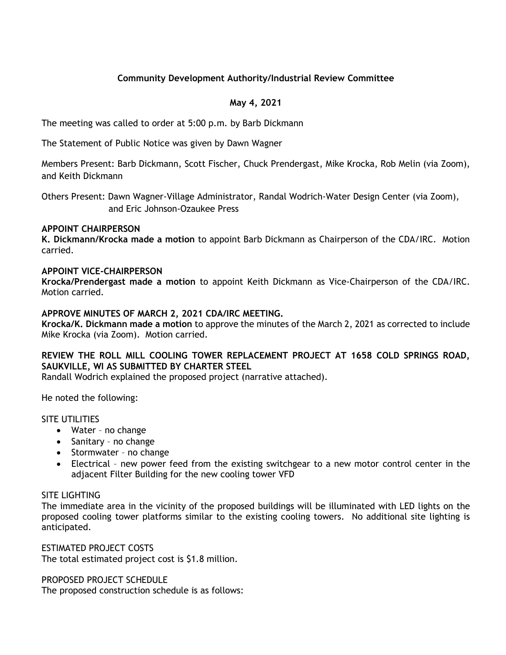# **Community Development Authority/Industrial Review Committee**

# **May 4, 2021**

The meeting was called to order at 5:00 p.m. by Barb Dickmann

The Statement of Public Notice was given by Dawn Wagner

Members Present: Barb Dickmann, Scott Fischer, Chuck Prendergast, Mike Krocka, Rob Melin (via Zoom), and Keith Dickmann

Others Present: Dawn Wagner-Village Administrator, Randal Wodrich-Water Design Center (via Zoom), and Eric Johnson-Ozaukee Press

## **APPOINT CHAIRPERSON**

**K. Dickmann/Krocka made a motion** to appoint Barb Dickmann as Chairperson of the CDA/IRC. Motion carried.

## **APPOINT VICE-CHAIRPERSON**

**Krocka/Prendergast made a motion** to appoint Keith Dickmann as Vice-Chairperson of the CDA/IRC. Motion carried.

## **APPROVE MINUTES OF MARCH 2, 2021 CDA/IRC MEETING.**

**Krocka/K. Dickmann made a motion** to approve the minutes of the March 2, 2021 as corrected to include Mike Krocka (via Zoom). Motion carried.

# **REVIEW THE ROLL MILL COOLING TOWER REPLACEMENT PROJECT AT 1658 COLD SPRINGS ROAD, SAUKVILLE, WI AS SUBMITTED BY CHARTER STEEL**

Randall Wodrich explained the proposed project (narrative attached).

He noted the following:

#### SITE UTILITIES

- Water no change
- Sanitary no change
- Stormwater no change
- Electrical new power feed from the existing switchgear to a new motor control center in the adjacent Filter Building for the new cooling tower VFD

#### SITE LIGHTING

The immediate area in the vicinity of the proposed buildings will be illuminated with LED lights on the proposed cooling tower platforms similar to the existing cooling towers. No additional site lighting is anticipated.

ESTIMATED PROJECT COSTS The total estimated project cost is \$1.8 million.

PROPOSED PROJECT SCHEDULE

The proposed construction schedule is as follows: